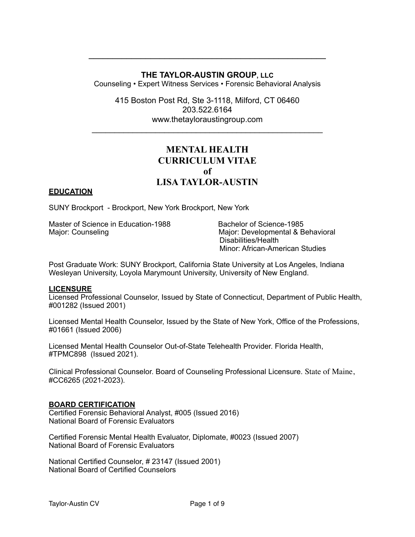# **THE TAYLOR-AUSTIN GROUP, LLC**

Counseling • Expert Witness Services • Forensic Behavioral Analysis

415 Boston Post Rd, Ste 3-1118, Milford, CT 06460 203.522.6164 www.[thetayloraustingroup.com](http://thetayloraustingroup.com)

 $\mathcal{L}_\text{max} = \mathcal{L}_\text{max} = \mathcal{L}_\text{max} = \mathcal{L}_\text{max} = \mathcal{L}_\text{max} = \mathcal{L}_\text{max} = \mathcal{L}_\text{max} = \mathcal{L}_\text{max} = \mathcal{L}_\text{max} = \mathcal{L}_\text{max} = \mathcal{L}_\text{max} = \mathcal{L}_\text{max} = \mathcal{L}_\text{max} = \mathcal{L}_\text{max} = \mathcal{L}_\text{max} = \mathcal{L}_\text{max} = \mathcal{L}_\text{max} = \mathcal{L}_\text{max} = \mathcal{$ 

# **MENTAL HEALTH CURRICULUM VITAE of LISA TAYLOR-AUSTIN**

# **EDUCATION**

SUNY Brockport - Brockport, New York Brockport, New York

Master of Science in Education-1988 Bachelor of Science-1985 Major: Counseling Major: Developmental & Behavioral

Disabilities/Health Minor: African-American Studies

Post Graduate Work: SUNY Brockport, California State University at Los Angeles, Indiana Wesleyan University, Loyola Marymount University, University of New England.

#### **LICENSURE**

Licensed Professional Counselor, Issued by State of Connecticut, Department of Public Health, #001282 (Issued 2001)

Licensed Mental Health Counselor, Issued by the State of New York, Office of the Professions, #01661 (Issued 2006)

Licensed Mental Health Counselor Out-of-State Telehealth Provider. Florida Health, #TPMC898 (Issued 2021).

Clinical Professional Counselor. Board of Counseling Professional Licensure. State of Maine, #CC6265 (2021-2023).

#### **BOARD CERTIFICATION**

Certified Forensic Behavioral Analyst, #005 (Issued 2016) National Board of Forensic Evaluators

Certified Forensic Mental Health Evaluator, Diplomate, #0023 (Issued 2007) National Board of Forensic Evaluators

National Certified Counselor, # 23147 (Issued 2001) National Board of Certified Counselors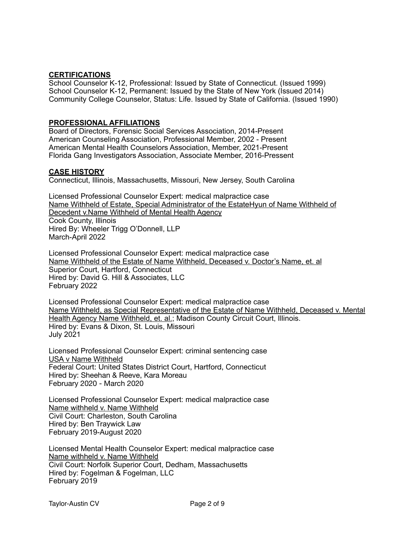## **CERTIFICATIONS**

School Counselor K-12, Professional: Issued by State of Connecticut. (Issued 1999) School Counselor K-12, Permanent: Issued by the State of New York (Issued 2014) Community College Counselor, Status: Life. Issued by State of California. (Issued 1990)

## **PROFESSIONAL AFFILIATIONS**

Board of Directors, Forensic Social Services Association, 2014-Present American Counseling Association, Professional Member, 2002 - Present American Mental Health Counselors Association, Member, 2021-Present Florida Gang Investigators Association, Associate Member, 2016-Pressent

#### **CASE HISTORY**

Connecticut, Illinois, Massachusetts, Missouri, New Jersey, South Carolina

Licensed Professional Counselor Expert: medical malpractice case Name Withheld of Estate, Special Administrator of the EstateHyun of Name Withheld of Decedent v.Name Withheld of Mental Health Agency Cook County, Illinois Hired By: Wheeler Trigg O'Donnell, LLP March-April 2022

Licensed Professional Counselor Expert: medical malpractice case Name Withheld of the Estate of Name Withheld, Deceased v. Doctor's Name, et. al Superior Court, Hartford, Connecticut Hired by: David G. Hill & Associates, LLC February 2022

Licensed Professional Counselor Expert: medical malpractice case Name Withheld, as Special Representative of the Estate of Name Withheld, Deceased v. Mental Health Agency Name Withheld, et. al.; Madison County Circuit Court, Illinois. Hired by: Evans & Dixon, St. Louis, Missouri July 2021

Licensed Professional Counselor Expert: criminal sentencing case USA v Name Withheld Federal Court: United States District Court, Hartford, Connecticut Hired by: Sheehan & Reeve, Kara Moreau February 2020 - March 2020

Licensed Professional Counselor Expert: medical malpractice case Name withheld v. Name Withheld Civil Court: Charleston, South Carolina Hired by: Ben Traywick Law February 2019-August 2020

Licensed Mental Health Counselor Expert: medical malpractice case Name withheld v. Name Withheld Civil Court: Norfolk Superior Court, Dedham, Massachusetts Hired by: Fogelman & Fogelman, LLC February 2019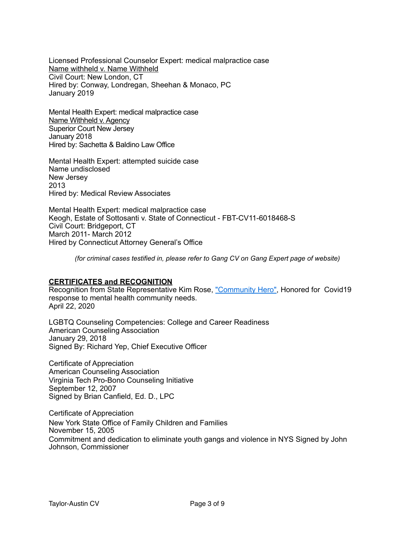Licensed Professional Counselor Expert: medical malpractice case Name withheld v. Name Withheld Civil Court: New London, CT Hired by: Conway, Londregan, Sheehan & Monaco, PC January 2019

Mental Health Expert: medical malpractice case Name Withheld v. Agency Superior Court New Jersey January 2018 Hired by: Sachetta & Baldino Law Office

Mental Health Expert: attempted suicide case Name undisclosed New Jersey 2013 Hired by: Medical Review Associates

Mental Health Expert: medical malpractice case Keogh, Estate of Sottosanti v. State of Connecticut - FBT-CV11-6018468-S Civil Court: Bridgeport, CT March 2011- March 2012 Hired by Connecticut Attorney General's Office

*(for criminal cases testified in, please refer to Gang CV on Gang Expert page of website)*

#### **CERTIFICATES and RECOGNITION**

Recognition from State Representative Kim Rose, ["Community Hero"](https://mailchi.mp/ff0b7889cfd9/lisa-taylor-austin-a-community-hero?fbclid=IwAR2G8ftCUcrfm0YugXsib6fFqyXKh4syQKvZW1yx1JRySnB-N848d0OZlcU), Honored for Covid19 response to mental health community needs. April 22, 2020

LGBTQ Counseling Competencies: College and Career Readiness American Counseling Association January 29, 2018 Signed By: Richard Yep, Chief Executive Officer

Certificate of Appreciation American Counseling Association Virginia Tech Pro-Bono Counseling Initiative September 12, 2007 Signed by Brian Canfield, Ed. D., LPC

Certificate of Appreciation New York State Office of Family Children and Families November 15, 2005 Commitment and dedication to eliminate youth gangs and violence in NYS Signed by John Johnson, Commissioner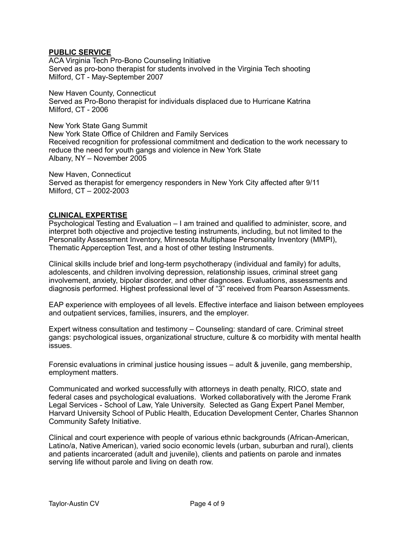# **PUBLIC SERVICE**

ACA Virginia Tech Pro-Bono Counseling Initiative Served as pro-bono therapist for students involved in the Virginia Tech shooting Milford, CT - May-September 2007

New Haven County, Connecticut Served as Pro-Bono therapist for individuals displaced due to Hurricane Katrina Milford, CT - 2006

New York State Gang Summit New York State Office of Children and Family Services Received recognition for professional commitment and dedication to the work necessary to reduce the need for youth gangs and violence in New York State Albany, NY – November 2005

New Haven, Connecticut Served as therapist for emergency responders in New York City affected after 9/11 Milford, CT – 2002-2003

#### **CLINICAL EXPERTISE**

Psychological Testing and Evaluation – I am trained and qualified to administer, score, and interpret both objective and projective testing instruments, including, but not limited to the Personality Assessment Inventory, Minnesota Multiphase Personality Inventory (MMPI), Thematic Apperception Test, and a host of other testing Instruments.

Clinical skills include brief and long-term psychotherapy (individual and family) for adults, adolescents, and children involving depression, relationship issues, criminal street gang involvement, anxiety, bipolar disorder, and other diagnoses. Evaluations, assessments and diagnosis performed. Highest professional level of "3" received from Pearson Assessments.

EAP experience with employees of all levels. Effective interface and liaison between employees and outpatient services, families, insurers, and the employer.

Expert witness consultation and testimony – Counseling: standard of care. Criminal street gangs: psychological issues, organizational structure, culture & co morbidity with mental health issues.

Forensic evaluations in criminal justice housing issues – adult & juvenile, gang membership, employment matters.

Communicated and worked successfully with attorneys in death penalty, RICO, state and federal cases and psychological evaluations. Worked collaboratively with the Jerome Frank Legal Services - School of Law, Yale University. Selected as Gang Expert Panel Member, Harvard University School of Public Health, Education Development Center, Charles Shannon Community Safety Initiative.

Clinical and court experience with people of various ethnic backgrounds (African-American, Latino/a, Native American), varied socio economic levels (urban, suburban and rural), clients and patients incarcerated (adult and juvenile), clients and patients on parole and inmates serving life without parole and living on death row.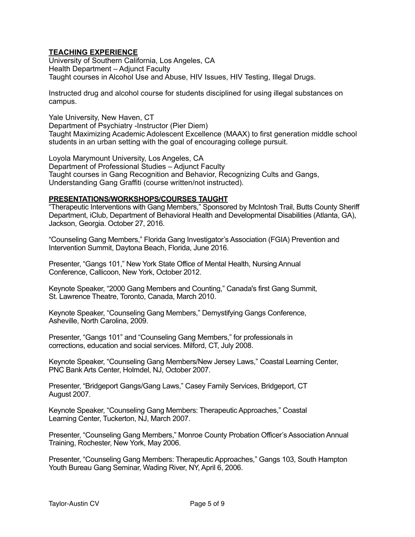# **TEACHING EXPERIENCE**

University of Southern California, Los Angeles, CA Health Department – Adjunct Faculty Taught courses in Alcohol Use and Abuse, HIV Issues, HIV Testing, Illegal Drugs.

Instructed drug and alcohol course for students disciplined for using illegal substances on campus.

Yale University, New Haven, CT Department of Psychiatry -Instructor (Pier Diem) Taught Maximizing Academic Adolescent Excellence (MAAX) to first generation middle school students in an urban setting with the goal of encouraging college pursuit.

Loyola Marymount University, Los Angeles, CA Department of Professional Studies – Adjunct Faculty Taught courses in Gang Recognition and Behavior, Recognizing Cults and Gangs, Understanding Gang Graffiti (course written/not instructed).

# **PRESENTATIONS/WORKSHOPS/COURSES TAUGHT**

"Therapeutic Interventions with Gang Members," Sponsored by McIntosh Trail, Butts County Sheriff Department, iClub, Department of Behavioral Health and Developmental Disabilities (Atlanta, GA), Jackson, Georgia. October 27, 2016.

"Counseling Gang Members," Florida Gang Investigator's Association (FGIA) Prevention and Intervention Summit, Daytona Beach, Florida, June 2016.

Presenter, "Gangs 101," New York State Office of Mental Health, Nursing Annual Conference, Callicoon, New York, October 2012.

Keynote Speaker, "2000 Gang Members and Counting," Canada's first Gang Summit, St. Lawrence Theatre, Toronto, Canada, March 2010.

Keynote Speaker, "Counseling Gang Members," Demystifying Gangs Conference, Asheville, North Carolina, 2009.

Presenter, "Gangs 101" and "Counseling Gang Members," for professionals in corrections, education and social services. Milford, CT, July 2008.

Keynote Speaker, "Counseling Gang Members/New Jersey Laws," Coastal Learning Center, PNC Bank Arts Center, Holmdel, NJ, October 2007.

Presenter, "Bridgeport Gangs/Gang Laws," Casey Family Services, Bridgeport, CT August 2007.

Keynote Speaker, "Counseling Gang Members: Therapeutic Approaches," Coastal Learning Center, Tuckerton, NJ, March 2007.

Presenter, "Counseling Gang Members," Monroe County Probation Officer's Association Annual Training, Rochester, New York, May 2006.

Presenter, "Counseling Gang Members: Therapeutic Approaches," Gangs 103, South Hampton Youth Bureau Gang Seminar, Wading River, NY, April 6, 2006.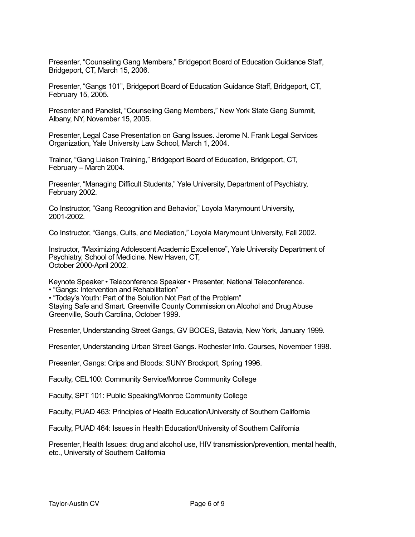Presenter, "Counseling Gang Members," Bridgeport Board of Education Guidance Staff, Bridgeport, CT, March 15, 2006.

Presenter, "Gangs 101", Bridgeport Board of Education Guidance Staff, Bridgeport, CT, February 15, 2005.

Presenter and Panelist, "Counseling Gang Members," New York State Gang Summit, Albany, NY, November 15, 2005.

Presenter, Legal Case Presentation on Gang Issues. Jerome N. Frank Legal Services Organization, Yale University Law School, March 1, 2004.

Trainer, "Gang Liaison Training," Bridgeport Board of Education, Bridgeport, CT, February – March 2004.

Presenter, "Managing Difficult Students," Yale University, Department of Psychiatry, February 2002.

Co Instructor, "Gang Recognition and Behavior," Loyola Marymount University, 2001-2002.

Co Instructor, "Gangs, Cults, and Mediation," Loyola Marymount University, Fall 2002.

Instructor, "Maximizing Adolescent Academic Excellence", Yale University Department of Psychiatry, School of Medicine. New Haven, CT, October 2000-April 2002.

Keynote Speaker • Teleconference Speaker • Presenter, National Teleconference.

• "Gangs: Intervention and Rehabilitation"

• "Today's Youth: Part of the Solution Not Part of the Problem"

Staying Safe and Smart. Greenville County Commission on Alcohol and Drug Abuse Greenville, South Carolina, October 1999.

Presenter, Understanding Street Gangs, GV BOCES, Batavia, New York, January 1999.

Presenter, Understanding Urban Street Gangs. Rochester Info. Courses, November 1998.

Presenter, Gangs: Crips and Bloods: SUNY Brockport, Spring 1996.

Faculty, CEL100: Community Service/Monroe Community College

Faculty, SPT 101: Public Speaking/Monroe Community College

Faculty, PUAD 463: Principles of Health Education/University of Southern California

Faculty, PUAD 464: Issues in Health Education/University of Southern California

Presenter, Health Issues: drug and alcohol use, HIV transmission/prevention, mental health, etc., University of Southern California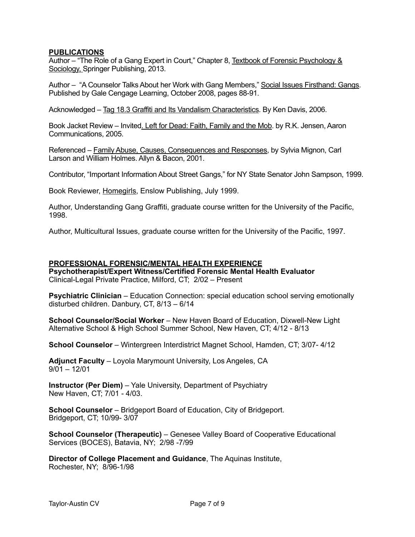# **PUBLICATIONS**

Author – "The Role of a Gang Expert in Court," Chapter 8, Textbook of Forensic Psychology & Sociology, Springer Publishing, 2013.

Author – "A Counselor Talks About her Work with Gang Members," Social Issues Firsthand: Gangs. Published by Gale Cengage Learning, October 2008, pages 88-91.

Acknowledged – Tag 18.3 Graffiti and Its Vandalism Characteristics. By Ken Davis, 2006.

Book Jacket Review – Invited. Left for Dead: Faith, Family and the Mob. by R.K. Jensen, Aaron Communications, 2005.

Referenced – Family Abuse, Causes, Consequences and Responses, by Sylvia Mignon, Carl Larson and William Holmes. Allyn & Bacon, 2001.

Contributor, "Important Information About Street Gangs," for NY State Senator John Sampson, 1999.

Book Reviewer, Homegirls, Enslow Publishing, July 1999.

Author, Understanding Gang Graffiti, graduate course written for the University of the Pacific, 1998.

Author, Multicultural Issues, graduate course written for the University of the Pacific, 1997.

#### **PROFESSIONAL FORENSIC/MENTAL HEALTH EXPERIENCE**

**Psychotherapist/Expert Witness/Certified Forensic Mental Health Evaluator** Clinical-Legal Private Practice, Milford, CT; 2/02 – Present

**Psychiatric Clinician** – Education Connection: special education school serving emotionally disturbed children. Danbury, CT, 8/13 – 6/14

**School Counselor/Social Worker** – New Haven Board of Education, Dixwell-New Light Alternative School & High School Summer School, New Haven, CT; 4/12 - 8/13

**School Counselor** – Wintergreen Interdistrict Magnet School, Hamden, CT; 3/07- 4/12

**Adjunct Faculty** – Loyola Marymount University, Los Angeles, CA  $9/01 - 12/01$ 

**Instructor (Per Diem)** – Yale University, Department of Psychiatry New Haven, CT; 7/01 - 4/03.

**School Counselor** – Bridgeport Board of Education, City of Bridgeport. Bridgeport, CT; 10/99- 3/07

**School Counselor (Therapeutic)** – Genesee Valley Board of Cooperative Educational Services (BOCES), Batavia, NY; 2/98 -7/99

**Director of College Placement and Guidance**, The Aquinas Institute, Rochester, NY; 8/96-1/98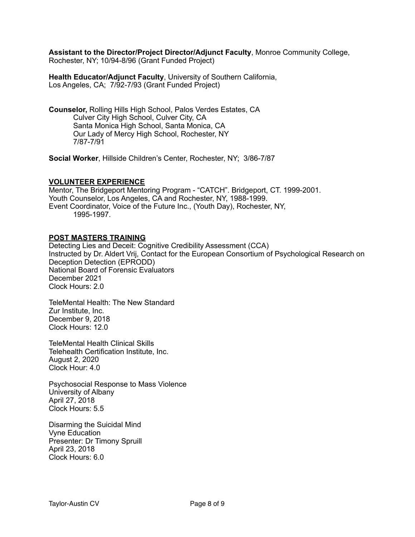**Assistant to the Director/Project Director/Adjunct Faculty**, Monroe Community College, Rochester, NY; 10/94-8/96 (Grant Funded Project)

**Health Educator/Adjunct Faculty**, University of Southern California, Los Angeles, CA; 7/92-7/93 (Grant Funded Project)

**Counselor,** Rolling Hills High School, Palos Verdes Estates, CA Culver City High School, Culver City, CA Santa Monica High School, Santa Monica, CA Our Lady of Mercy High School, Rochester, NY 7/87-7/91

**Social Worker**, Hillside Children's Center, Rochester, NY; 3/86-7/87

#### **VOLUNTEER EXPERIENCE**

Mentor, The Bridgeport Mentoring Program - "CATCH". Bridgeport, CT. 1999-2001. Youth Counselor, Los Angeles, CA and Rochester, NY, 1988-1999. Event Coordinator, Voice of the Future Inc., (Youth Day), Rochester, NY, 1995-1997.

# **POST MASTERS TRAINING**

Detecting Lies and Deceit: Cognitive Credibility Assessment (CCA) Instructed by Dr. Aldert Vrij, Contact for the European Consortium of Psychological Research on Deception Detection (EPRODD) National Board of Forensic Evaluators December 2021 Clock Hours: 2.0

TeleMental Health: The New Standard Zur Institute, Inc. December 9, 2018 Clock Hours: 12.0

TeleMental Health Clinical Skills Telehealth Certification Institute, Inc. August 2, 2020 Clock Hour: 4.0

Psychosocial Response to Mass Violence University of Albany April 27, 2018 Clock Hours: 5.5

Disarming the Suicidal Mind Vyne Education Presenter: Dr Timony Spruill April 23, 2018 Clock Hours: 6.0